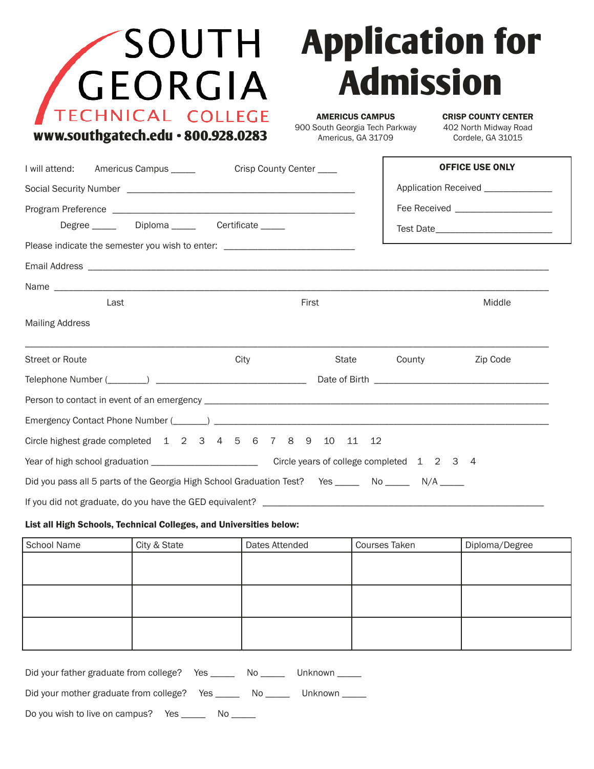|  | SOUTH                              |  |
|--|------------------------------------|--|
|  | GEORGIA                            |  |
|  | TECHNICAL COLLEGE                  |  |
|  | www.southgatech.edu · 800.928.0283 |  |

## **Application for Admission**

AMERICUS CAMPUS 900 South Georgia Tech Parkway Americus, GA 31709

CRISP COUNTY CENTER 402 North Midway Road Cordele, GA 31015

| I will attend: Americus Campus _____                                                                      | Crisp County Center ____            |       |              | <b>OFFICE USE ONLY</b>              |
|-----------------------------------------------------------------------------------------------------------|-------------------------------------|-------|--------------|-------------------------------------|
|                                                                                                           | Application Received ______________ |       |              |                                     |
| Degree _______ Diploma ______ Certificate _____                                                           |                                     |       |              | Fee Received ______________________ |
| Please indicate the semester you wish to enter: ________________________________                          |                                     |       |              |                                     |
|                                                                                                           |                                     |       |              |                                     |
|                                                                                                           |                                     |       |              |                                     |
| Last                                                                                                      |                                     | First |              | Middle                              |
| <b>Mailing Address</b>                                                                                    |                                     |       |              |                                     |
| Street or Route                                                                                           | City                                |       | State County | Zip Code                            |
|                                                                                                           |                                     |       |              |                                     |
|                                                                                                           |                                     |       |              |                                     |
|                                                                                                           |                                     |       |              |                                     |
| Circle highest grade completed 1 2 3 4 5 6 7 8 9 10 11 12                                                 |                                     |       |              |                                     |
|                                                                                                           |                                     |       |              |                                     |
| Did you pass all 5 parts of the Georgia High School Graduation Test? Yes ________ No _________ N/A ______ |                                     |       |              |                                     |
|                                                                                                           |                                     |       |              |                                     |

## List all High Schools, Technical Colleges, and Universities below:

| School Name | City & State | Dates Attended | <b>Courses Taken</b> | Diploma/Degree |
|-------------|--------------|----------------|----------------------|----------------|
|             |              |                |                      |                |
|             |              |                |                      |                |
|             |              |                |                      |                |
|             |              |                |                      |                |
|             |              |                |                      |                |
|             |              |                |                      |                |

| Did your father graduate from college?     | Yes | No the set of the set of the set of the set of the set of the set of the set of the set of the set of the set o | Unknown |
|--------------------------------------------|-----|-----------------------------------------------------------------------------------------------------------------|---------|
| Did your mother graduate from college? Yes |     | NO DOMESTIC NO.                                                                                                 | Unknown |
| Do you wish to live on campus? Yes         | N0. |                                                                                                                 |         |